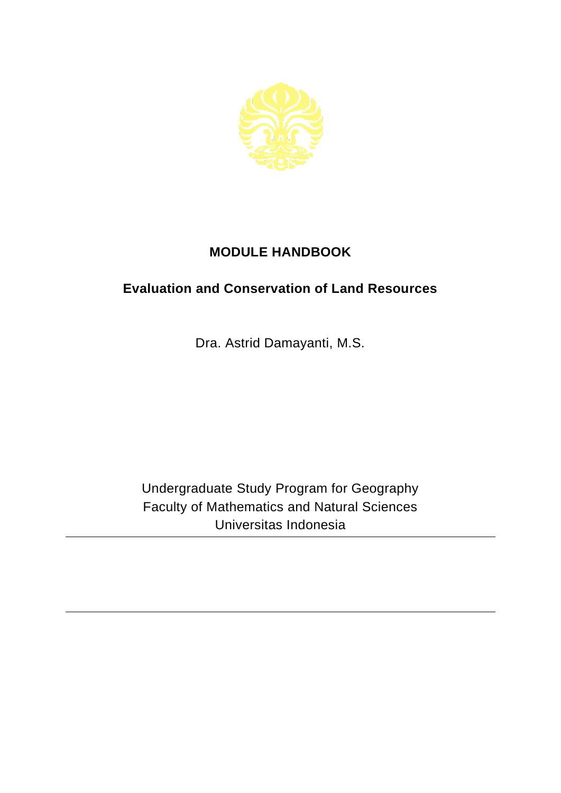

## **MODULE HANDBOOK**

## **Evaluation and Conservation of Land Resources**

Dra. Astrid Damayanti, M.S.

Undergraduate Study Program for Geography Faculty of Mathematics and Natural Sciences Universitas Indonesia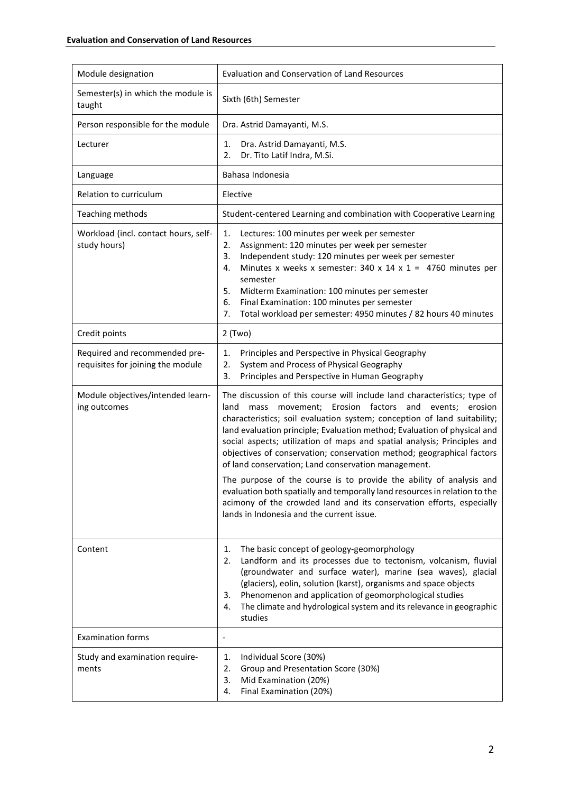| Module designation                                                 | <b>Evaluation and Conservation of Land Resources</b>                                                                                                                                                                                                                                                                                                                                                                                                                                                                                                                                                                                                                                                                                                                                             |
|--------------------------------------------------------------------|--------------------------------------------------------------------------------------------------------------------------------------------------------------------------------------------------------------------------------------------------------------------------------------------------------------------------------------------------------------------------------------------------------------------------------------------------------------------------------------------------------------------------------------------------------------------------------------------------------------------------------------------------------------------------------------------------------------------------------------------------------------------------------------------------|
| Semester(s) in which the module is<br>taught                       | Sixth (6th) Semester                                                                                                                                                                                                                                                                                                                                                                                                                                                                                                                                                                                                                                                                                                                                                                             |
| Person responsible for the module                                  | Dra. Astrid Damayanti, M.S.                                                                                                                                                                                                                                                                                                                                                                                                                                                                                                                                                                                                                                                                                                                                                                      |
| Lecturer                                                           | Dra. Astrid Damayanti, M.S.<br>1.<br>Dr. Tito Latif Indra, M.Si.<br>2.                                                                                                                                                                                                                                                                                                                                                                                                                                                                                                                                                                                                                                                                                                                           |
| Language                                                           | Bahasa Indonesia                                                                                                                                                                                                                                                                                                                                                                                                                                                                                                                                                                                                                                                                                                                                                                                 |
| Relation to curriculum                                             | Elective                                                                                                                                                                                                                                                                                                                                                                                                                                                                                                                                                                                                                                                                                                                                                                                         |
| Teaching methods                                                   | Student-centered Learning and combination with Cooperative Learning                                                                                                                                                                                                                                                                                                                                                                                                                                                                                                                                                                                                                                                                                                                              |
| Workload (incl. contact hours, self-<br>study hours)               | Lectures: 100 minutes per week per semester<br>1.<br>Assignment: 120 minutes per week per semester<br>2.<br>Independent study: 120 minutes per week per semester<br>3.<br>Minutes x weeks x semester: 340 x 14 x 1 = 4760 minutes per<br>4.<br>semester<br>5.<br>Midterm Examination: 100 minutes per semester<br>Final Examination: 100 minutes per semester<br>6.<br>Total workload per semester: 4950 minutes / 82 hours 40 minutes<br>7.                                                                                                                                                                                                                                                                                                                                                     |
| Credit points                                                      | $2$ (Two)                                                                                                                                                                                                                                                                                                                                                                                                                                                                                                                                                                                                                                                                                                                                                                                        |
| Required and recommended pre-<br>requisites for joining the module | Principles and Perspective in Physical Geography<br>1.<br>System and Process of Physical Geography<br>2.<br>Principles and Perspective in Human Geography<br>3.                                                                                                                                                                                                                                                                                                                                                                                                                                                                                                                                                                                                                                  |
| Module objectives/intended learn-<br>ing outcomes                  | The discussion of this course will include land characteristics; type of<br>movement; Erosion factors<br>and<br>land<br>mass<br>events;<br>erosion<br>characteristics; soil evaluation system; conception of land suitability;<br>land evaluation principle; Evaluation method; Evaluation of physical and<br>social aspects; utilization of maps and spatial analysis; Principles and<br>objectives of conservation; conservation method; geographical factors<br>of land conservation; Land conservation management.<br>The purpose of the course is to provide the ability of analysis and<br>evaluation both spatially and temporally land resources in relation to the<br>acimony of the crowded land and its conservation efforts, especially<br>lands in Indonesia and the current issue. |
| Content                                                            | The basic concept of geology-geomorphology<br>1.<br>Landform and its processes due to tectonism, volcanism, fluvial<br>2.<br>(groundwater and surface water), marine (sea waves), glacial<br>(glaciers), eolin, solution (karst), organisms and space objects<br>Phenomenon and application of geomorphological studies<br>3.<br>The climate and hydrological system and its relevance in geographic<br>4.<br>studies                                                                                                                                                                                                                                                                                                                                                                            |
| <b>Examination forms</b>                                           | ٠                                                                                                                                                                                                                                                                                                                                                                                                                                                                                                                                                                                                                                                                                                                                                                                                |
| Study and examination require-<br>ments                            | Individual Score (30%)<br>1.<br>Group and Presentation Score (30%)<br>2.<br>Mid Examination (20%)<br>3.<br>Final Examination (20%)<br>4.                                                                                                                                                                                                                                                                                                                                                                                                                                                                                                                                                                                                                                                         |